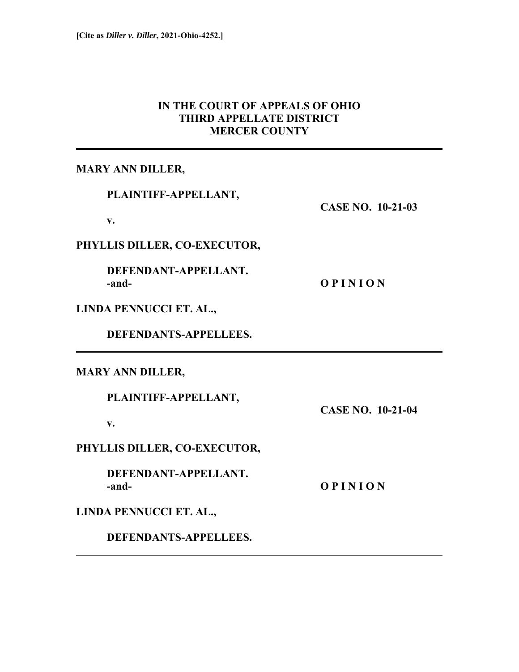# **IN THE COURT OF APPEALS OF OHIO THIRD APPELLATE DISTRICT MERCER COUNTY**

# **MARY ANN DILLER,**

 **PLAINTIFF-APPELLANT,** 

 **v.** 

 **CASE NO. 10-21-03** 

# **PHYLLIS DILLER, CO-EXECUTOR,**

 **DEFENDANT-APPELLANT. and- O P I N I O N** 

## **LINDA PENNUCCI ET. AL.,**

 **DEFENDANTS-APPELLEES.** 

## **MARY ANN DILLER,**

 **PLAINTIFF-APPELLANT,** 

 **v.** 

 **CASE NO. 10-21-04** 

# **PHYLLIS DILLER, CO-EXECUTOR,**

 **DEFENDANT-APPELLANT. and- O P I N I O N** 

**LINDA PENNUCCI ET. AL.,** 

 **DEFENDANTS-APPELLEES.**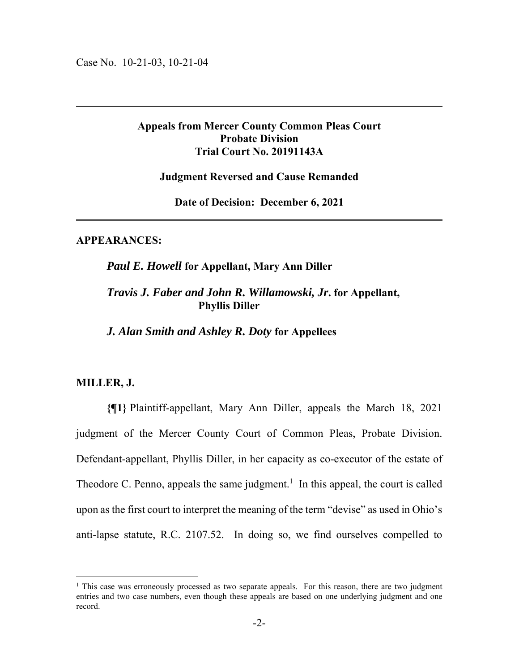## **Appeals from Mercer County Common Pleas Court Probate Division Trial Court No. 20191143A**

**Judgment Reversed and Cause Remanded** 

**Date of Decision: December 6, 2021** 

#### **APPEARANCES:**

*Paul E. Howell* **for Appellant, Mary Ann Diller**  *Travis J. Faber and John R. Willamowski, Jr***. for Appellant, Phyllis Diller** 

 *J. Alan Smith and Ashley R. Doty* **for Appellees** 

#### **MILLER, J.**

**{¶1}** Plaintiff-appellant, Mary Ann Diller, appeals the March 18, 2021 judgment of the Mercer County Court of Common Pleas, Probate Division. Defendant-appellant, Phyllis Diller, in her capacity as co-executor of the estate of Theodore C. Penno, appeals the same judgment.<sup>1</sup> In this appeal, the court is called upon as the first court to interpret the meaning of the term "devise" as used in Ohio's anti-lapse statute, R.C. 2107.52. In doing so, we find ourselves compelled to

<sup>&</sup>lt;sup>1</sup> This case was erroneously processed as two separate appeals. For this reason, there are two judgment entries and two case numbers, even though these appeals are based on one underlying judgment and one record.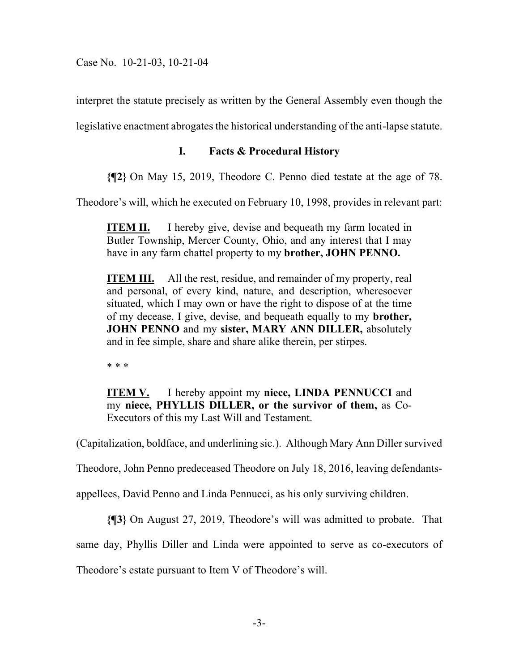interpret the statute precisely as written by the General Assembly even though the

legislative enactment abrogates the historical understanding of the anti-lapse statute.

# **I. Facts & Procedural History**

**{¶2}** On May 15, 2019, Theodore C. Penno died testate at the age of 78.

Theodore's will, which he executed on February 10, 1998, provides in relevant part:

**ITEM II.** I hereby give, devise and bequeath my farm located in Butler Township, Mercer County, Ohio, and any interest that I may have in any farm chattel property to my **brother, JOHN PENNO.** 

**ITEM III.** All the rest, residue, and remainder of my property, real and personal, of every kind, nature, and description, wheresoever situated, which I may own or have the right to dispose of at the time of my decease, I give, devise, and bequeath equally to my **brother, JOHN PENNO** and my **sister, MARY ANN DILLER,** absolutely and in fee simple, share and share alike therein, per stirpes.

\* \* \*

**ITEM V.** I hereby appoint my **niece**, **LINDA PENNUCCI** and my **niece, PHYLLIS DILLER, or the survivor of them,** as Co-Executors of this my Last Will and Testament.

(Capitalization, boldface, and underlining sic.). Although Mary Ann Diller survived

Theodore, John Penno predeceased Theodore on July 18, 2016, leaving defendants-

appellees, David Penno and Linda Pennucci, as his only surviving children.

**{¶3}** On August 27, 2019, Theodore's will was admitted to probate. That

same day, Phyllis Diller and Linda were appointed to serve as co-executors of

Theodore's estate pursuant to Item V of Theodore's will.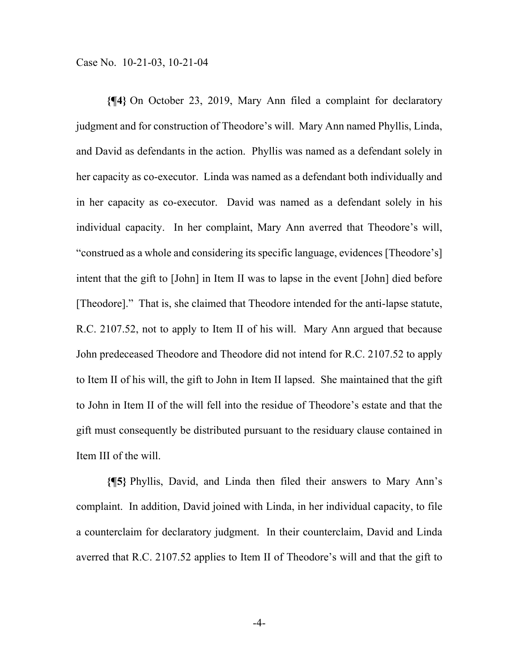**{¶4}** On October 23, 2019, Mary Ann filed a complaint for declaratory judgment and for construction of Theodore's will. Mary Ann named Phyllis, Linda, and David as defendants in the action. Phyllis was named as a defendant solely in her capacity as co-executor. Linda was named as a defendant both individually and in her capacity as co-executor. David was named as a defendant solely in his individual capacity. In her complaint, Mary Ann averred that Theodore's will, "construed as a whole and considering its specific language, evidences [Theodore's] intent that the gift to [John] in Item II was to lapse in the event [John] died before [Theodore]." That is, she claimed that Theodore intended for the anti-lapse statute, R.C. 2107.52, not to apply to Item II of his will. Mary Ann argued that because John predeceased Theodore and Theodore did not intend for R.C. 2107.52 to apply to Item II of his will, the gift to John in Item II lapsed. She maintained that the gift to John in Item II of the will fell into the residue of Theodore's estate and that the gift must consequently be distributed pursuant to the residuary clause contained in Item III of the will.

**{¶5}** Phyllis, David, and Linda then filed their answers to Mary Ann's complaint. In addition, David joined with Linda, in her individual capacity, to file a counterclaim for declaratory judgment. In their counterclaim, David and Linda averred that R.C. 2107.52 applies to Item II of Theodore's will and that the gift to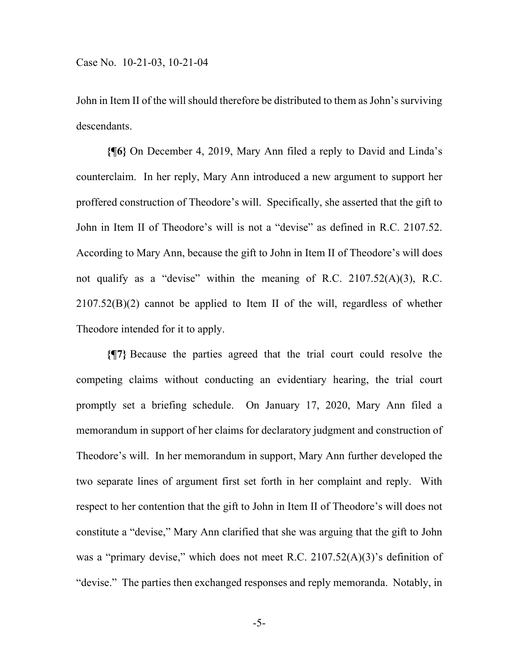John in Item II of the will should therefore be distributed to them as John's surviving descendants.

**{¶6}** On December 4, 2019, Mary Ann filed a reply to David and Linda's counterclaim. In her reply, Mary Ann introduced a new argument to support her proffered construction of Theodore's will. Specifically, she asserted that the gift to John in Item II of Theodore's will is not a "devise" as defined in R.C. 2107.52. According to Mary Ann, because the gift to John in Item II of Theodore's will does not qualify as a "devise" within the meaning of R.C. 2107.52(A)(3), R.C.  $2107.52(B)(2)$  cannot be applied to Item II of the will, regardless of whether Theodore intended for it to apply.

**{¶7}** Because the parties agreed that the trial court could resolve the competing claims without conducting an evidentiary hearing, the trial court promptly set a briefing schedule. On January 17, 2020, Mary Ann filed a memorandum in support of her claims for declaratory judgment and construction of Theodore's will. In her memorandum in support, Mary Ann further developed the two separate lines of argument first set forth in her complaint and reply. With respect to her contention that the gift to John in Item II of Theodore's will does not constitute a "devise," Mary Ann clarified that she was arguing that the gift to John was a "primary devise," which does not meet R.C. 2107.52(A)(3)'s definition of "devise." The parties then exchanged responses and reply memoranda. Notably, in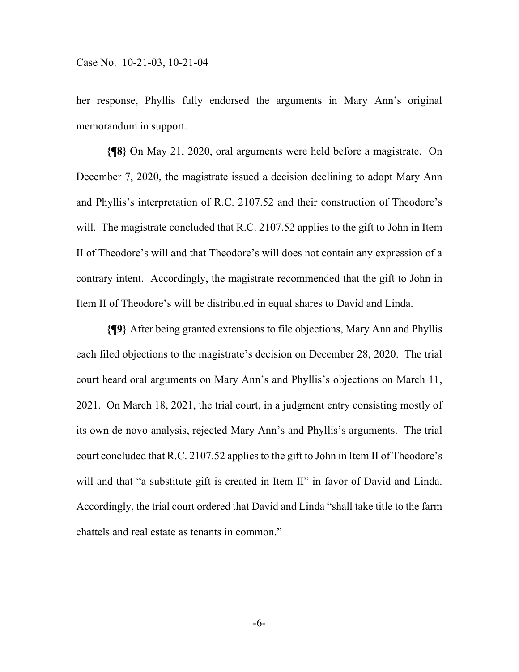her response, Phyllis fully endorsed the arguments in Mary Ann's original memorandum in support.

**{¶8}** On May 21, 2020, oral arguments were held before a magistrate. On December 7, 2020, the magistrate issued a decision declining to adopt Mary Ann and Phyllis's interpretation of R.C. 2107.52 and their construction of Theodore's will. The magistrate concluded that R.C. 2107.52 applies to the gift to John in Item II of Theodore's will and that Theodore's will does not contain any expression of a contrary intent. Accordingly, the magistrate recommended that the gift to John in Item II of Theodore's will be distributed in equal shares to David and Linda.

**{¶9}** After being granted extensions to file objections, Mary Ann and Phyllis each filed objections to the magistrate's decision on December 28, 2020. The trial court heard oral arguments on Mary Ann's and Phyllis's objections on March 11, 2021. On March 18, 2021, the trial court, in a judgment entry consisting mostly of its own de novo analysis, rejected Mary Ann's and Phyllis's arguments. The trial court concluded that R.C. 2107.52 applies to the gift to John in Item II of Theodore's will and that "a substitute gift is created in Item II" in favor of David and Linda. Accordingly, the trial court ordered that David and Linda "shall take title to the farm chattels and real estate as tenants in common."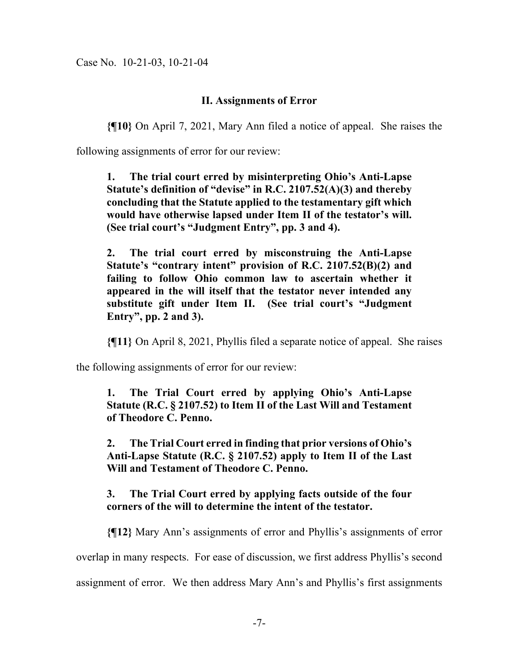## **II. Assignments of Error**

**{¶10}** On April 7, 2021, Mary Ann filed a notice of appeal. She raises the

following assignments of error for our review:

**1. The trial court erred by misinterpreting Ohio's Anti-Lapse Statute's definition of "devise" in R.C. 2107.52(A)(3) and thereby concluding that the Statute applied to the testamentary gift which would have otherwise lapsed under Item II of the testator's will. (See trial court's "Judgment Entry", pp. 3 and 4).** 

**2. The trial court erred by misconstruing the Anti-Lapse Statute's "contrary intent" provision of R.C. 2107.52(B)(2) and failing to follow Ohio common law to ascertain whether it appeared in the will itself that the testator never intended any substitute gift under Item II. (See trial court's "Judgment Entry", pp. 2 and 3).** 

**{¶11}** On April 8, 2021, Phyllis filed a separate notice of appeal. She raises

the following assignments of error for our review:

**1. The Trial Court erred by applying Ohio's Anti-Lapse Statute (R.C. § 2107.52) to Item II of the Last Will and Testament of Theodore C. Penno.** 

**2. The Trial Court erred in finding that prior versions of Ohio's Anti-Lapse Statute (R.C. § 2107.52) apply to Item II of the Last Will and Testament of Theodore C. Penno.** 

# **3. The Trial Court erred by applying facts outside of the four corners of the will to determine the intent of the testator.**

**{¶12}** Mary Ann's assignments of error and Phyllis's assignments of error

overlap in many respects. For ease of discussion, we first address Phyllis's second

assignment of error. We then address Mary Ann's and Phyllis's first assignments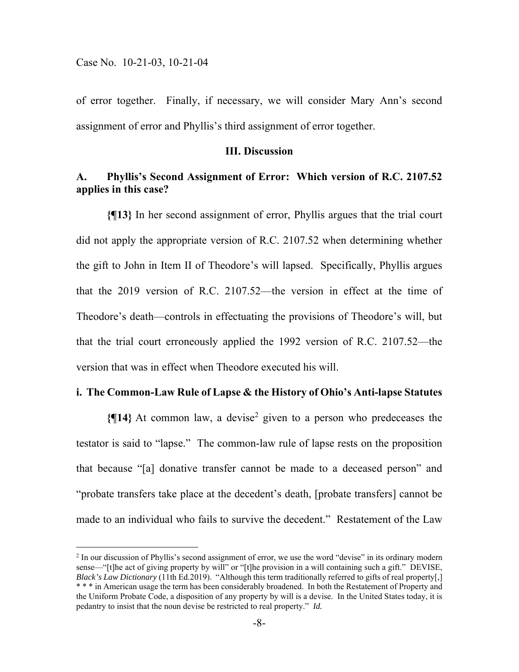of error together. Finally, if necessary, we will consider Mary Ann's second assignment of error and Phyllis's third assignment of error together.

#### **III. Discussion**

## **A. Phyllis's Second Assignment of Error: Which version of R.C. 2107.52 applies in this case?**

**{¶13}** In her second assignment of error, Phyllis argues that the trial court did not apply the appropriate version of R.C. 2107.52 when determining whether the gift to John in Item II of Theodore's will lapsed. Specifically, Phyllis argues that the 2019 version of R.C. 2107.52—the version in effect at the time of Theodore's death—controls in effectuating the provisions of Theodore's will, but that the trial court erroneously applied the 1992 version of R.C. 2107.52—the version that was in effect when Theodore executed his will.

### **i. The Common-Law Rule of Lapse & the History of Ohio's Anti-lapse Statutes**

**{¶14}** At common law, a devise2 given to a person who predeceases the testator is said to "lapse." The common-law rule of lapse rests on the proposition that because "[a] donative transfer cannot be made to a deceased person" and "probate transfers take place at the decedent's death, [probate transfers] cannot be made to an individual who fails to survive the decedent." Restatement of the Law

<sup>&</sup>lt;sup>2</sup> In our discussion of Phyllis's second assignment of error, we use the word "devise" in its ordinary modern sense—"[t]he act of giving property by will" or "[t]he provision in a will containing such a gift." DEVISE, *Black's Law Dictionary* (11th Ed.2019). "Although this term traditionally referred to gifts of real property[,] \* \* \* in American usage the term has been considerably broadened. In both the Restatement of Property and the Uniform Probate Code, a disposition of any property by will is a devise. In the United States today, it is pedantry to insist that the noun devise be restricted to real property." *Id.*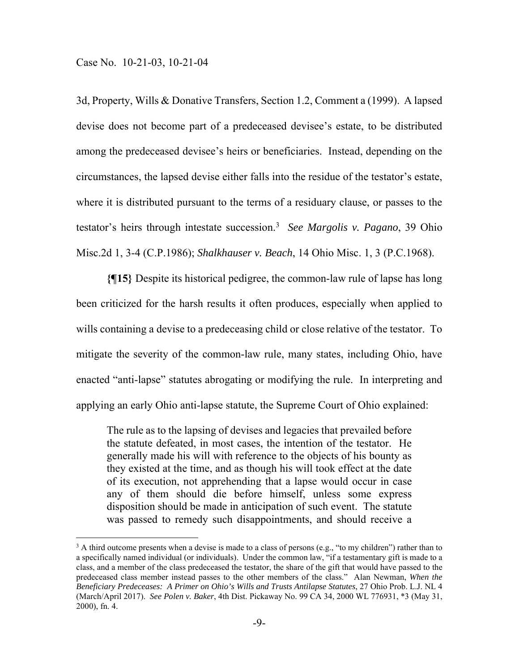3d, Property, Wills & Donative Transfers, Section 1.2, Comment a (1999). A lapsed devise does not become part of a predeceased devisee's estate, to be distributed among the predeceased devisee's heirs or beneficiaries. Instead, depending on the circumstances, the lapsed devise either falls into the residue of the testator's estate, where it is distributed pursuant to the terms of a residuary clause, or passes to the testator's heirs through intestate succession.3 *See Margolis v. Pagano*, 39 Ohio Misc.2d 1, 3-4 (C.P.1986); *Shalkhauser v. Beach*, 14 Ohio Misc. 1, 3 (P.C.1968).

**{¶15}** Despite its historical pedigree, the common-law rule of lapse has long been criticized for the harsh results it often produces, especially when applied to wills containing a devise to a predeceasing child or close relative of the testator. To mitigate the severity of the common-law rule, many states, including Ohio, have enacted "anti-lapse" statutes abrogating or modifying the rule. In interpreting and applying an early Ohio anti-lapse statute, the Supreme Court of Ohio explained:

The rule as to the lapsing of devises and legacies that prevailed before the statute defeated, in most cases, the intention of the testator. He generally made his will with reference to the objects of his bounty as they existed at the time, and as though his will took effect at the date of its execution, not apprehending that a lapse would occur in case any of them should die before himself, unless some express disposition should be made in anticipation of such event. The statute was passed to remedy such disappointments, and should receive a

<sup>&</sup>lt;sup>3</sup> A third outcome presents when a devise is made to a class of persons (e.g., "to my children") rather than to a specifically named individual (or individuals). Under the common law, "if a testamentary gift is made to a class, and a member of the class predeceased the testator, the share of the gift that would have passed to the predeceased class member instead passes to the other members of the class." Alan Newman, *When the Beneficiary Predeceases: A Primer on Ohio's Wills and Trusts Antilapse Statutes*, 27 Ohio Prob. L.J. NL 4 (March/April 2017). *See Polen v. Baker*, 4th Dist. Pickaway No. 99 CA 34, 2000 WL 776931, \*3 (May 31, 2000), fn. 4.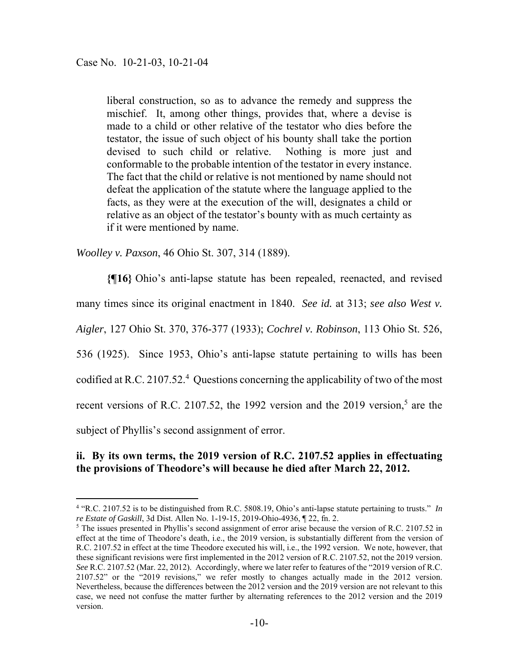liberal construction, so as to advance the remedy and suppress the mischief. It, among other things, provides that, where a devise is made to a child or other relative of the testator who dies before the testator, the issue of such object of his bounty shall take the portion devised to such child or relative. Nothing is more just and conformable to the probable intention of the testator in every instance. The fact that the child or relative is not mentioned by name should not defeat the application of the statute where the language applied to the facts, as they were at the execution of the will, designates a child or relative as an object of the testator's bounty with as much certainty as if it were mentioned by name.

*Woolley v. Paxson*, 46 Ohio St. 307, 314 (1889).

**{¶16}** Ohio's anti-lapse statute has been repealed, reenacted, and revised many times since its original enactment in 1840. *See id.* at 313; *see also West v. Aigler*, 127 Ohio St. 370, 376-377 (1933); *Cochrel v. Robinson*, 113 Ohio St. 526, 536 (1925). Since 1953, Ohio's anti-lapse statute pertaining to wills has been codified at R.C. 2107.52.4 Questions concerning the applicability of two of the most recent versions of R.C. 2107.52, the 1992 version and the 2019 version,<sup>5</sup> are the subject of Phyllis's second assignment of error.

## **ii. By its own terms, the 2019 version of R.C. 2107.52 applies in effectuating the provisions of Theodore's will because he died after March 22, 2012.**

<sup>&</sup>lt;sup>4</sup> "R.C. 2107.52 is to be distinguished from R.C. 5808.19, Ohio's anti-lapse statute pertaining to trusts." *In re Estate of Gaskill*, 3d Dist. Allen No. 1-19-15, 2019-Ohio-4936, ¶ 22, fn. 2.

 $5$  The issues presented in Phyllis's second assignment of error arise because the version of R.C. 2107.52 in effect at the time of Theodore's death, i.e., the 2019 version, is substantially different from the version of R.C. 2107.52 in effect at the time Theodore executed his will, i.e., the 1992 version. We note, however, that these significant revisions were first implemented in the 2012 version of R.C. 2107.52, not the 2019 version. *See* R.C. 2107.52 (Mar. 22, 2012). Accordingly, where we later refer to features of the "2019 version of R.C. 2107.52" or the "2019 revisions," we refer mostly to changes actually made in the 2012 version. Nevertheless, because the differences between the 2012 version and the 2019 version are not relevant to this case, we need not confuse the matter further by alternating references to the 2012 version and the 2019 version.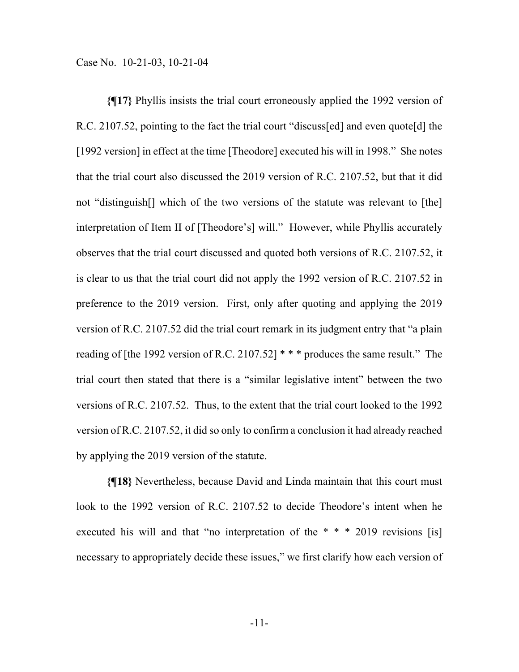**{¶17}** Phyllis insists the trial court erroneously applied the 1992 version of R.C. 2107.52, pointing to the fact the trial court "discuss[ed] and even quote[d] the [1992 version] in effect at the time [Theodore] executed his will in 1998." She notes that the trial court also discussed the 2019 version of R.C. 2107.52, but that it did not "distinguish[] which of the two versions of the statute was relevant to [the] interpretation of Item II of [Theodore's] will." However, while Phyllis accurately observes that the trial court discussed and quoted both versions of R.C. 2107.52, it is clear to us that the trial court did not apply the 1992 version of R.C. 2107.52 in preference to the 2019 version. First, only after quoting and applying the 2019 version of R.C. 2107.52 did the trial court remark in its judgment entry that "a plain reading of [the 1992 version of R.C. 2107.52] \* \* \* produces the same result." The trial court then stated that there is a "similar legislative intent" between the two versions of R.C. 2107.52. Thus, to the extent that the trial court looked to the 1992 version of R.C. 2107.52, it did so only to confirm a conclusion it had already reached by applying the 2019 version of the statute.

**{¶18}** Nevertheless, because David and Linda maintain that this court must look to the 1992 version of R.C. 2107.52 to decide Theodore's intent when he executed his will and that "no interpretation of the \* \* \* 2019 revisions [is] necessary to appropriately decide these issues," we first clarify how each version of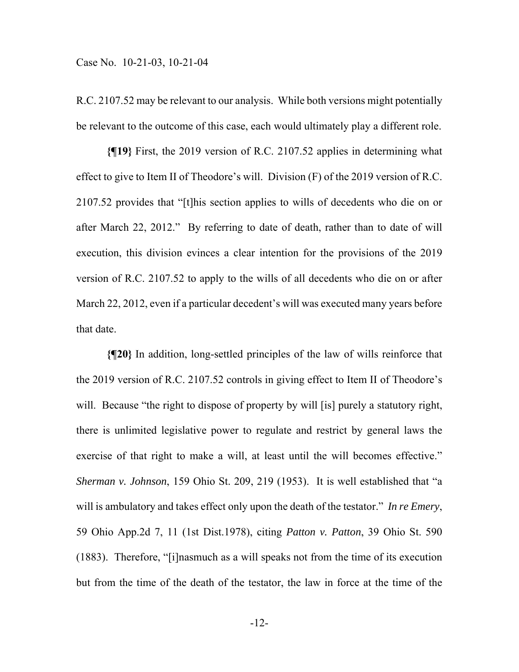R.C. 2107.52 may be relevant to our analysis. While both versions might potentially be relevant to the outcome of this case, each would ultimately play a different role.

**{¶19}** First, the 2019 version of R.C. 2107.52 applies in determining what effect to give to Item II of Theodore's will. Division (F) of the 2019 version of R.C. 2107.52 provides that "[t]his section applies to wills of decedents who die on or after March 22, 2012." By referring to date of death, rather than to date of will execution, this division evinces a clear intention for the provisions of the 2019 version of R.C. 2107.52 to apply to the wills of all decedents who die on or after March 22, 2012, even if a particular decedent's will was executed many years before that date.

**{¶20}** In addition, long-settled principles of the law of wills reinforce that the 2019 version of R.C. 2107.52 controls in giving effect to Item II of Theodore's will. Because "the right to dispose of property by will [is] purely a statutory right, there is unlimited legislative power to regulate and restrict by general laws the exercise of that right to make a will, at least until the will becomes effective." *Sherman v. Johnson*, 159 Ohio St. 209, 219 (1953). It is well established that "a will is ambulatory and takes effect only upon the death of the testator." *In re Emery*, 59 Ohio App.2d 7, 11 (1st Dist.1978), citing *Patton v. Patton*, 39 Ohio St. 590 (1883). Therefore, "[i]nasmuch as a will speaks not from the time of its execution but from the time of the death of the testator, the law in force at the time of the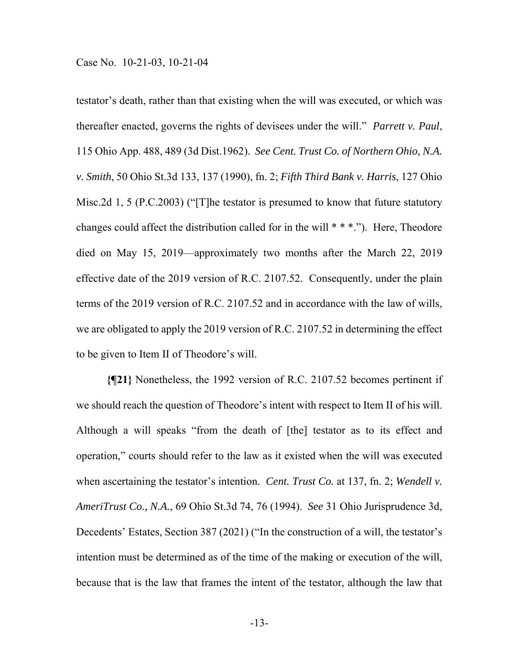testator's death, rather than that existing when the will was executed, or which was thereafter enacted, governs the rights of devisees under the will." *Parrett v. Paul*, 115 Ohio App. 488, 489 (3d Dist.1962). *See Cent. Trust Co. of Northern Ohio, N.A. v. Smith*, 50 Ohio St.3d 133, 137 (1990), fn. 2; *Fifth Third Bank v. Harris*, 127 Ohio Misc.2d 1, 5 (P.C.2003) ("[T]he testator is presumed to know that future statutory changes could affect the distribution called for in the will \* \* \*."). Here, Theodore died on May 15, 2019—approximately two months after the March 22, 2019 effective date of the 2019 version of R.C. 2107.52. Consequently, under the plain terms of the 2019 version of R.C. 2107.52 and in accordance with the law of wills, we are obligated to apply the 2019 version of R.C. 2107.52 in determining the effect to be given to Item II of Theodore's will.

**{¶21}** Nonetheless, the 1992 version of R.C. 2107.52 becomes pertinent if we should reach the question of Theodore's intent with respect to Item II of his will. Although a will speaks "from the death of [the] testator as to its effect and operation," courts should refer to the law as it existed when the will was executed when ascertaining the testator's intention. *Cent. Trust Co.* at 137, fn. 2; *Wendell v. AmeriTrust Co., N.A.*, 69 Ohio St.3d 74, 76 (1994). *See* 31 Ohio Jurisprudence 3d, Decedents' Estates, Section 387 (2021) ("In the construction of a will, the testator's intention must be determined as of the time of the making or execution of the will, because that is the law that frames the intent of the testator, although the law that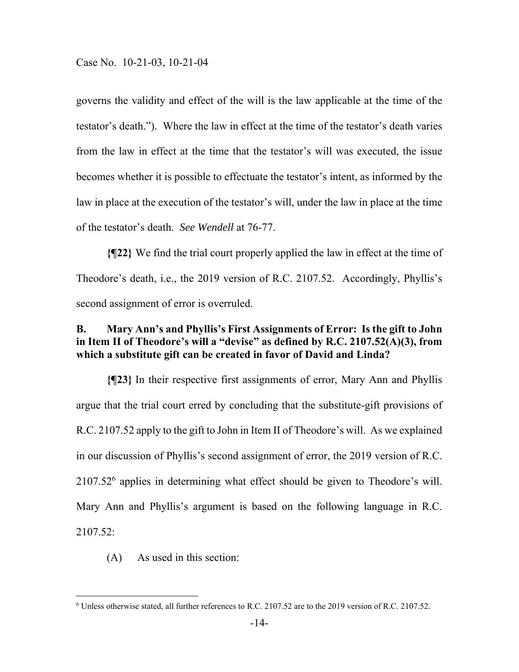governs the validity and effect of the will is the law applicable at the time of the testator's death."). Where the law in effect at the time of the testator's death varies from the law in effect at the time that the testator's will was executed, the issue becomes whether it is possible to effectuate the testator's intent, as informed by the law in place at the execution of the testator's will, under the law in place at the time of the testator's death. *See Wendell* at 76-77.

**{¶22}** We find the trial court properly applied the law in effect at the time of Theodore's death, i.e., the 2019 version of R.C. 2107.52. Accordingly, Phyllis's second assignment of error is overruled.

# **B. Mary Ann's and Phyllis's First Assignments of Error: Is the gift to John in Item II of Theodore's will a "devise" as defined by R.C. 2107.52(A)(3), from which a substitute gift can be created in favor of David and Linda?**

**{¶23}** In their respective first assignments of error, Mary Ann and Phyllis argue that the trial court erred by concluding that the substitute-gift provisions of R.C. 2107.52 apply to the gift to John in Item II of Theodore's will. As we explained in our discussion of Phyllis's second assignment of error, the 2019 version of R.C.  $2107.52<sup>6</sup>$  applies in determining what effect should be given to Theodore's will. Mary Ann and Phyllis's argument is based on the following language in R.C. 2107.52:

(A) As used in this section:

<sup>6</sup> Unless otherwise stated, all further references to R.C. 2107.52 are to the 2019 version of R.C. 2107.52.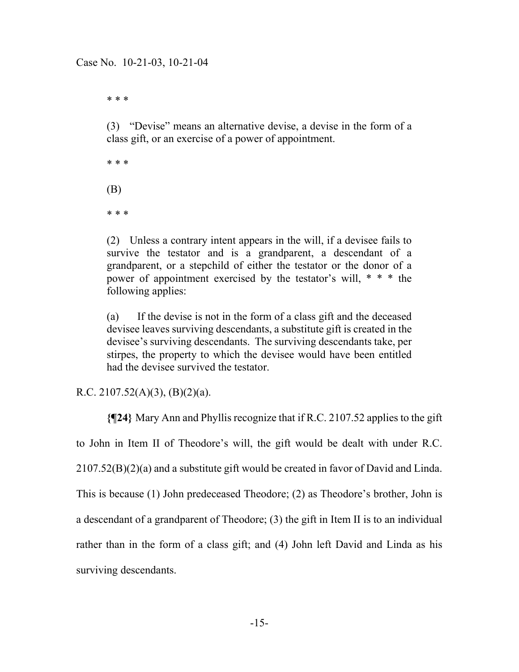\* \* \*

(3) "Devise" means an alternative devise, a devise in the form of a class gift, or an exercise of a power of appointment.

\* \* \* (B)

\* \* \*

(2) Unless a contrary intent appears in the will, if a devisee fails to survive the testator and is a grandparent, a descendant of a grandparent, or a stepchild of either the testator or the donor of a power of appointment exercised by the testator's will, \* \* \* the following applies:

(a) If the devise is not in the form of a class gift and the deceased devisee leaves surviving descendants, a substitute gift is created in the devisee's surviving descendants. The surviving descendants take, per stirpes, the property to which the devisee would have been entitled had the devisee survived the testator.

R.C. 2107.52(A)(3), (B)(2)(a).

**{¶24}** Mary Ann and Phyllis recognize that if R.C. 2107.52 applies to the gift to John in Item II of Theodore's will, the gift would be dealt with under R.C. 2107.52(B)(2)(a) and a substitute gift would be created in favor of David and Linda. This is because (1) John predeceased Theodore; (2) as Theodore's brother, John is a descendant of a grandparent of Theodore; (3) the gift in Item II is to an individual rather than in the form of a class gift; and (4) John left David and Linda as his surviving descendants.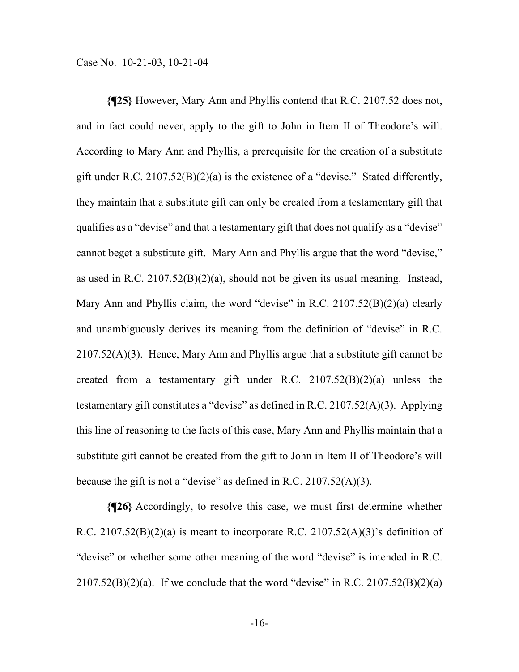**{¶25}** However, Mary Ann and Phyllis contend that R.C. 2107.52 does not, and in fact could never, apply to the gift to John in Item II of Theodore's will. According to Mary Ann and Phyllis, a prerequisite for the creation of a substitute gift under R.C.  $2107.52(B)(2)(a)$  is the existence of a "devise." Stated differently, they maintain that a substitute gift can only be created from a testamentary gift that qualifies as a "devise" and that a testamentary gift that does not qualify as a "devise" cannot beget a substitute gift. Mary Ann and Phyllis argue that the word "devise," as used in R.C. 2107.52(B)(2)(a), should not be given its usual meaning. Instead, Mary Ann and Phyllis claim, the word "devise" in R.C. 2107.52(B)(2)(a) clearly and unambiguously derives its meaning from the definition of "devise" in R.C.  $2107.52(A)(3)$ . Hence, Mary Ann and Phyllis argue that a substitute gift cannot be created from a testamentary gift under R.C.  $2107.52(B)(2)(a)$  unless the testamentary gift constitutes a "devise" as defined in R.C. 2107.52(A)(3). Applying this line of reasoning to the facts of this case, Mary Ann and Phyllis maintain that a substitute gift cannot be created from the gift to John in Item II of Theodore's will because the gift is not a "devise" as defined in R.C. 2107.52(A)(3).

**{¶26}** Accordingly, to resolve this case, we must first determine whether R.C. 2107.52 $(B)(2)(a)$  is meant to incorporate R.C. 2107.52 $(A)(3)$ 's definition of "devise" or whether some other meaning of the word "devise" is intended in R.C.  $2107.52(B)(2)(a)$ . If we conclude that the word "devise" in R.C.  $2107.52(B)(2)(a)$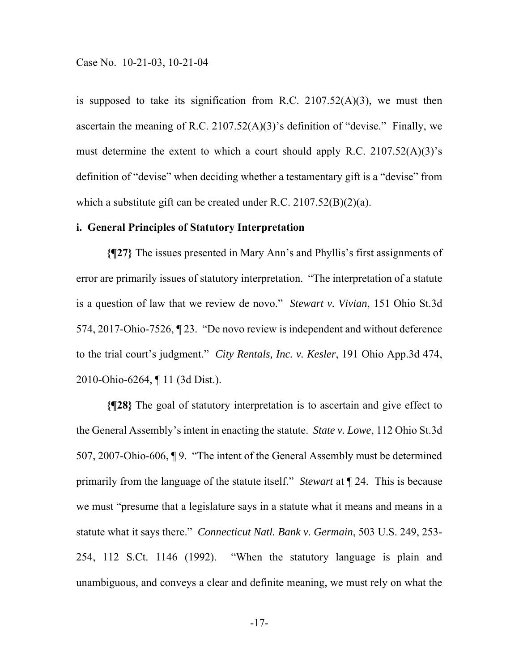is supposed to take its signification from R.C.  $2107.52(A)(3)$ , we must then ascertain the meaning of R.C. 2107.52(A)(3)'s definition of "devise." Finally, we must determine the extent to which a court should apply R.C.  $2107.52(A)(3)$ 's definition of "devise" when deciding whether a testamentary gift is a "devise" from which a substitute gift can be created under R.C. 2107.52(B)(2)(a).

#### **i. General Principles of Statutory Interpretation**

**{¶27}** The issues presented in Mary Ann's and Phyllis's first assignments of error are primarily issues of statutory interpretation. "The interpretation of a statute is a question of law that we review de novo." *Stewart v. Vivian*, 151 Ohio St.3d 574, 2017-Ohio-7526, ¶ 23. "De novo review is independent and without deference to the trial court's judgment." *City Rentals, Inc. v. Kesler*, 191 Ohio App.3d 474, 2010-Ohio-6264, ¶ 11 (3d Dist.).

**{¶28}** The goal of statutory interpretation is to ascertain and give effect to the General Assembly's intent in enacting the statute. *State v. Lowe*, 112 Ohio St.3d 507, 2007-Ohio-606, ¶ 9. "The intent of the General Assembly must be determined primarily from the language of the statute itself." *Stewart* at ¶ 24. This is because we must "presume that a legislature says in a statute what it means and means in a statute what it says there." *Connecticut Natl. Bank v. Germain*, 503 U.S. 249, 253- 254, 112 S.Ct. 1146 (1992). "When the statutory language is plain and unambiguous, and conveys a clear and definite meaning, we must rely on what the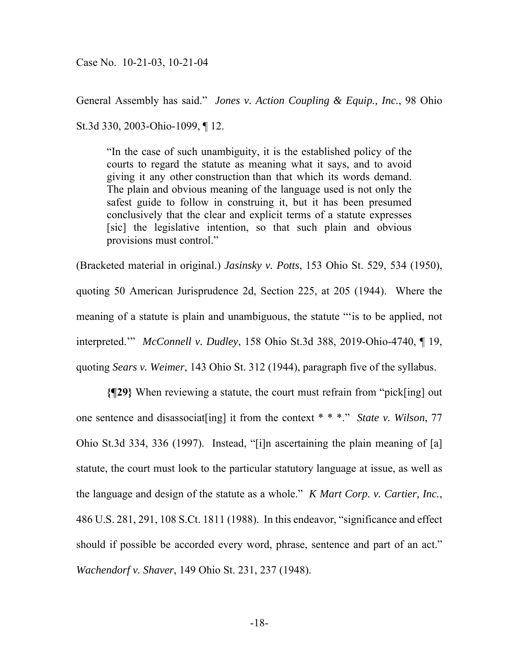General Assembly has said." *Jones v. Action Coupling & Equip., Inc.*, 98 Ohio

St.3d 330, 2003-Ohio-1099, ¶ 12.

"In the case of such unambiguity, it is the established policy of the courts to regard the statute as meaning what it says, and to avoid giving it any other construction than that which its words demand. The plain and obvious meaning of the language used is not only the safest guide to follow in construing it, but it has been presumed conclusively that the clear and explicit terms of a statute expresses [sic] the legislative intention, so that such plain and obvious provisions must control."

(Bracketed material in original.) *Jasinsky v. Potts*, 153 Ohio St. 529, 534 (1950), quoting 50 American Jurisprudence 2d, Section 225, at 205 (1944). Where the meaning of a statute is plain and unambiguous, the statute "'is to be applied, not interpreted.'" *McConnell v. Dudley*, 158 Ohio St.3d 388, 2019-Ohio-4740, ¶ 19, quoting *Sears v. Weimer*, 143 Ohio St. 312 (1944), paragraph five of the syllabus.

**{¶29}** When reviewing a statute, the court must refrain from "pick[ing] out one sentence and disassociat[ing] it from the context \* \* \*." *State v. Wilson*, 77 Ohio St.3d 334, 336 (1997). Instead, "[i]n ascertaining the plain meaning of [a] statute, the court must look to the particular statutory language at issue, as well as the language and design of the statute as a whole." *K Mart Corp. v. Cartier, Inc.*, 486 U.S. 281, 291, 108 S.Ct. 1811 (1988). In this endeavor, "significance and effect should if possible be accorded every word, phrase, sentence and part of an act." *Wachendorf v. Shaver*, 149 Ohio St. 231, 237 (1948).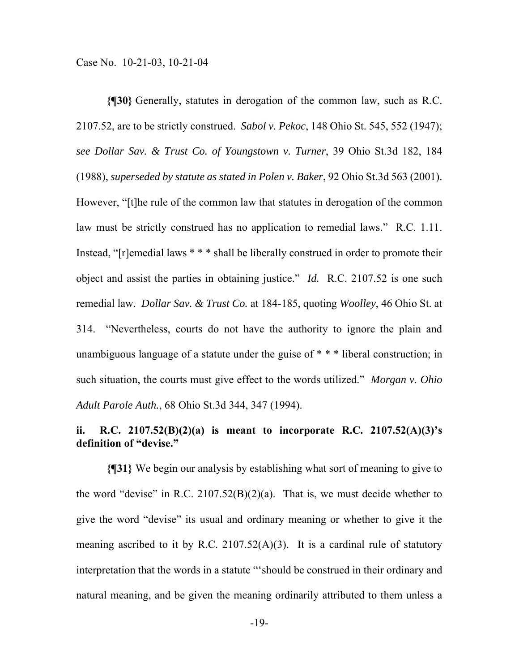**{¶30}** Generally, statutes in derogation of the common law, such as R.C. 2107.52, are to be strictly construed. *Sabol v. Pekoc*, 148 Ohio St. 545, 552 (1947); *see Dollar Sav. & Trust Co. of Youngstown v. Turner*, 39 Ohio St.3d 182, 184 (1988), *superseded by statute as stated in Polen v. Baker*, 92 Ohio St.3d 563 (2001). However, "[t]he rule of the common law that statutes in derogation of the common law must be strictly construed has no application to remedial laws." R.C. 1.11. Instead, "[r]emedial laws \* \* \* shall be liberally construed in order to promote their object and assist the parties in obtaining justice." *Id.* R.C. 2107.52 is one such remedial law. *Dollar Sav. & Trust Co.* at 184-185, quoting *Woolley*, 46 Ohio St. at 314. "Nevertheless, courts do not have the authority to ignore the plain and unambiguous language of a statute under the guise of \* \* \* liberal construction; in such situation, the courts must give effect to the words utilized." *Morgan v. Ohio Adult Parole Auth.*, 68 Ohio St.3d 344, 347 (1994).

# **ii. R.C. 2107.52(B)(2)(a) is meant to incorporate R.C. 2107.52(A)(3)'s definition of "devise."**

**{¶31}** We begin our analysis by establishing what sort of meaning to give to the word "devise" in R.C.  $2107.52(B)(2)(a)$ . That is, we must decide whether to give the word "devise" its usual and ordinary meaning or whether to give it the meaning ascribed to it by R.C.  $2107.52(A)(3)$ . It is a cardinal rule of statutory interpretation that the words in a statute "'should be construed in their ordinary and natural meaning, and be given the meaning ordinarily attributed to them unless a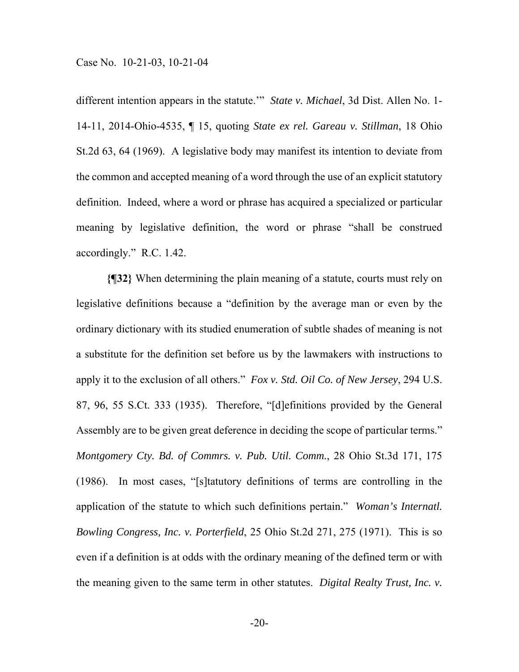different intention appears in the statute.'" *State v. Michael*, 3d Dist. Allen No. 1- 14-11, 2014-Ohio-4535, ¶ 15, quoting *State ex rel. Gareau v. Stillman*, 18 Ohio St.2d 63, 64 (1969). A legislative body may manifest its intention to deviate from the common and accepted meaning of a word through the use of an explicit statutory definition. Indeed, where a word or phrase has acquired a specialized or particular meaning by legislative definition, the word or phrase "shall be construed accordingly." R.C. 1.42.

**{¶32}** When determining the plain meaning of a statute, courts must rely on legislative definitions because a "definition by the average man or even by the ordinary dictionary with its studied enumeration of subtle shades of meaning is not a substitute for the definition set before us by the lawmakers with instructions to apply it to the exclusion of all others." *Fox v. Std. Oil Co. of New Jersey*, 294 U.S. 87, 96, 55 S.Ct. 333 (1935). Therefore, "[d]efinitions provided by the General Assembly are to be given great deference in deciding the scope of particular terms." *Montgomery Cty. Bd. of Commrs. v. Pub. Util. Comm.*, 28 Ohio St.3d 171, 175 (1986). In most cases, "[s]tatutory definitions of terms are controlling in the application of the statute to which such definitions pertain." *Woman's Internatl. Bowling Congress, Inc. v. Porterfield*, 25 Ohio St.2d 271, 275 (1971). This is so even if a definition is at odds with the ordinary meaning of the defined term or with the meaning given to the same term in other statutes. *Digital Realty Trust, Inc. v.*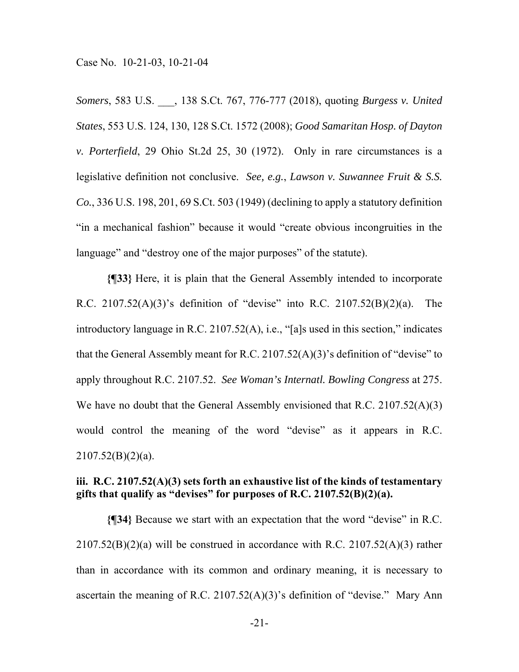*Somers*, 583 U.S. \_\_\_, 138 S.Ct. 767, 776-777 (2018), quoting *Burgess v. United States*, 553 U.S. 124, 130, 128 S.Ct. 1572 (2008); *Good Samaritan Hosp. of Dayton v. Porterfield*, 29 Ohio St.2d 25, 30 (1972). Only in rare circumstances is a legislative definition not conclusive. *See, e.g.*, *Lawson v. Suwannee Fruit & S.S. Co.*, 336 U.S. 198, 201, 69 S.Ct. 503 (1949) (declining to apply a statutory definition "in a mechanical fashion" because it would "create obvious incongruities in the language" and "destroy one of the major purposes" of the statute).

**{¶33}** Here, it is plain that the General Assembly intended to incorporate R.C. 2107.52(A)(3)'s definition of "devise" into R.C. 2107.52(B)(2)(a). The introductory language in R.C. 2107.52(A), i.e., "[a]s used in this section," indicates that the General Assembly meant for R.C. 2107.52(A)(3)'s definition of "devise" to apply throughout R.C. 2107.52. *See Woman's Internatl. Bowling Congress* at 275. We have no doubt that the General Assembly envisioned that R.C. 2107.52(A)(3) would control the meaning of the word "devise" as it appears in R.C.  $2107.52(B)(2)(a)$ .

## **iii. R.C. 2107.52(A)(3) sets forth an exhaustive list of the kinds of testamentary gifts that qualify as "devises" for purposes of R.C. 2107.52(B)(2)(a).**

**{¶34}** Because we start with an expectation that the word "devise" in R.C.  $2107.52(B)(2)(a)$  will be construed in accordance with R.C.  $2107.52(A)(3)$  rather than in accordance with its common and ordinary meaning, it is necessary to ascertain the meaning of R.C. 2107.52(A)(3)'s definition of "devise." Mary Ann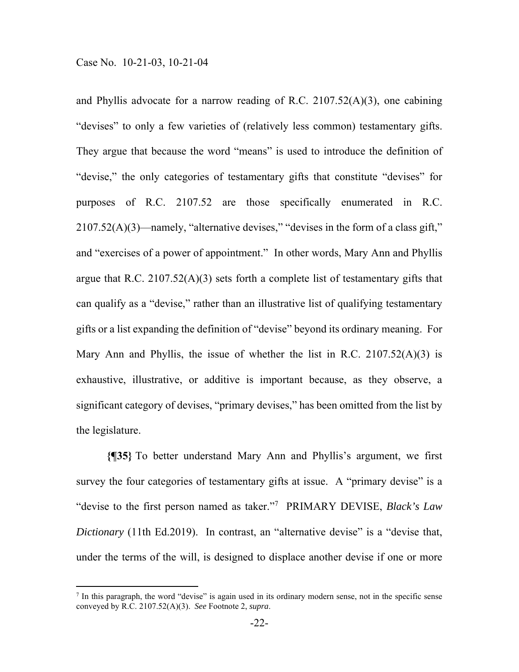and Phyllis advocate for a narrow reading of R.C.  $2107.52(A)(3)$ , one cabining "devises" to only a few varieties of (relatively less common) testamentary gifts. They argue that because the word "means" is used to introduce the definition of "devise," the only categories of testamentary gifts that constitute "devises" for purposes of R.C. 2107.52 are those specifically enumerated in R.C.  $2107.52(A)(3)$ —namely, "alternative devises," "devises in the form of a class gift," and "exercises of a power of appointment." In other words, Mary Ann and Phyllis argue that R.C.  $2107.52(A)(3)$  sets forth a complete list of testamentary gifts that can qualify as a "devise," rather than an illustrative list of qualifying testamentary gifts or a list expanding the definition of "devise" beyond its ordinary meaning. For Mary Ann and Phyllis, the issue of whether the list in R.C.  $2107.52(A)(3)$  is exhaustive, illustrative, or additive is important because, as they observe, a significant category of devises, "primary devises," has been omitted from the list by the legislature.

**{¶35}** To better understand Mary Ann and Phyllis's argument, we first survey the four categories of testamentary gifts at issue. A "primary devise" is a "devise to the first person named as taker."7 PRIMARY DEVISE, *Black's Law Dictionary* (11th Ed.2019). In contrast, an "alternative devise" is a "devise that, under the terms of the will, is designed to displace another devise if one or more

<sup>7</sup> In this paragraph, the word "devise" is again used in its ordinary modern sense, not in the specific sense conveyed by R.C. 2107.52(A)(3). *See* Footnote 2, *supra*.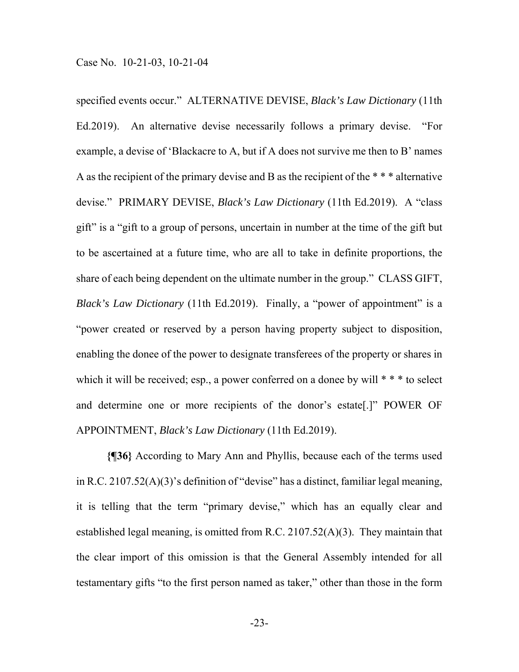specified events occur." ALTERNATIVE DEVISE, *Black's Law Dictionary* (11th Ed.2019). An alternative devise necessarily follows a primary devise. "For example, a devise of 'Blackacre to A, but if A does not survive me then to B' names A as the recipient of the primary devise and B as the recipient of the \* \* \* alternative devise." PRIMARY DEVISE, *Black's Law Dictionary* (11th Ed.2019). A "class gift" is a "gift to a group of persons, uncertain in number at the time of the gift but to be ascertained at a future time, who are all to take in definite proportions, the share of each being dependent on the ultimate number in the group." CLASS GIFT, *Black's Law Dictionary* (11th Ed.2019). Finally, a "power of appointment" is a "power created or reserved by a person having property subject to disposition, enabling the donee of the power to designate transferees of the property or shares in which it will be received; esp., a power conferred on a donee by will  $***$  to select and determine one or more recipients of the donor's estate[.]" POWER OF APPOINTMENT, *Black's Law Dictionary* (11th Ed.2019).

**{¶36}** According to Mary Ann and Phyllis, because each of the terms used in R.C. 2107.52(A)(3)'s definition of "devise" has a distinct, familiar legal meaning, it is telling that the term "primary devise," which has an equally clear and established legal meaning, is omitted from R.C. 2107.52(A)(3). They maintain that the clear import of this omission is that the General Assembly intended for all testamentary gifts "to the first person named as taker," other than those in the form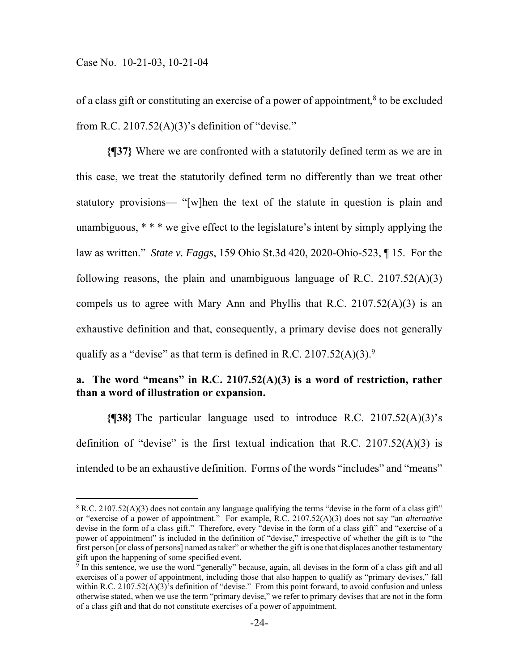of a class gift or constituting an exercise of a power of appointment, $8$  to be excluded from R.C.  $2107.52(A)(3)$ 's definition of "devise."

**{¶37}** Where we are confronted with a statutorily defined term as we are in this case, we treat the statutorily defined term no differently than we treat other statutory provisions— "[w]hen the text of the statute in question is plain and unambiguous, \* \* \* we give effect to the legislature's intent by simply applying the law as written." *State v. Faggs*, 159 Ohio St.3d 420, 2020-Ohio-523, ¶ 15. For the following reasons, the plain and unambiguous language of R.C. 2107.52(A)(3) compels us to agree with Mary Ann and Phyllis that R.C.  $2107.52(A)(3)$  is an exhaustive definition and that, consequently, a primary devise does not generally qualify as a "devise" as that term is defined in R.C. 2107.52(A)(3).<sup>9</sup>

# **a. The word "means" in R.C. 2107.52(A)(3) is a word of restriction, rather than a word of illustration or expansion.**

**{¶38}** The particular language used to introduce R.C. 2107.52(A)(3)'s definition of "devise" is the first textual indication that R.C.  $2107.52(A)(3)$  is intended to be an exhaustive definition. Forms of the words "includes" and "means"

<sup>&</sup>lt;sup>8</sup> R.C. 2107.52(A)(3) does not contain any language qualifying the terms "devise in the form of a class gift" or "exercise of a power of appointment." For example, R.C. 2107.52(A)(3) does not say "an *alternative* devise in the form of a class gift." Therefore, every "devise in the form of a class gift" and "exercise of a power of appointment" is included in the definition of "devise," irrespective of whether the gift is to "the first person [or class of persons] named as taker" or whether the gift is one that displaces another testamentary gift upon the happening of some specified event.

<sup>&</sup>lt;sup>9</sup> In this sentence, we use the word "generally" because, again, all devises in the form of a class gift and all exercises of a power of appointment, including those that also happen to qualify as "primary devises," fall within R.C. 2107.52(A)(3)'s definition of "devise." From this point forward, to avoid confusion and unless otherwise stated, when we use the term "primary devise," we refer to primary devises that are not in the form of a class gift and that do not constitute exercises of a power of appointment.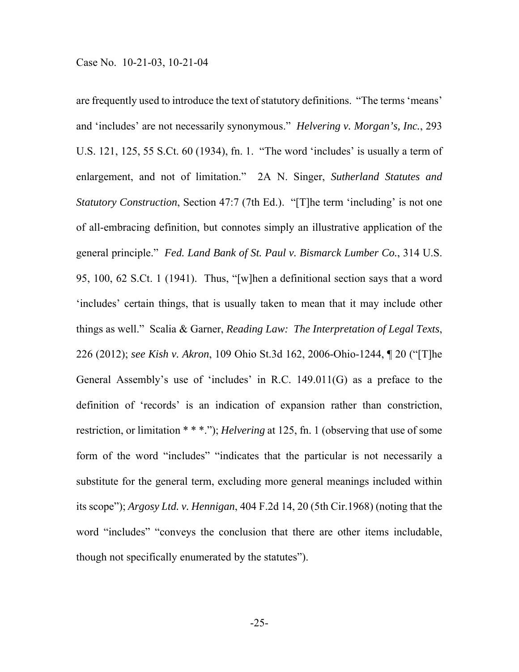are frequently used to introduce the text of statutory definitions. "The terms 'means' and 'includes' are not necessarily synonymous." *Helvering v. Morgan's, Inc.*, 293 U.S. 121, 125, 55 S.Ct. 60 (1934), fn. 1. "The word 'includes' is usually a term of enlargement, and not of limitation." 2A N. Singer, *Sutherland Statutes and Statutory Construction*, Section 47:7 (7th Ed.). "[T]he term 'including' is not one of all-embracing definition, but connotes simply an illustrative application of the general principle." *Fed. Land Bank of St. Paul v. Bismarck Lumber Co.*, 314 U.S. 95, 100, 62 S.Ct. 1 (1941). Thus, "[w]hen a definitional section says that a word 'includes' certain things, that is usually taken to mean that it may include other things as well." Scalia & Garner, *Reading Law: The Interpretation of Legal Texts*, 226 (2012); *see Kish v. Akron*, 109 Ohio St.3d 162, 2006-Ohio-1244, ¶ 20 ("[T]he General Assembly's use of 'includes' in R.C. 149.011(G) as a preface to the definition of 'records' is an indication of expansion rather than constriction, restriction, or limitation \* \* \*."); *Helvering* at 125, fn. 1 (observing that use of some form of the word "includes" "indicates that the particular is not necessarily a substitute for the general term, excluding more general meanings included within its scope"); *Argosy Ltd. v. Hennigan*, 404 F.2d 14, 20 (5th Cir.1968) (noting that the word "includes" "conveys the conclusion that there are other items includable, though not specifically enumerated by the statutes").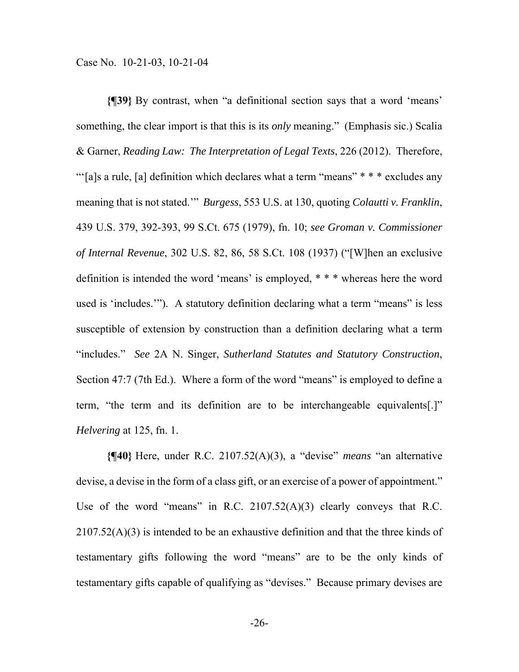**{¶39}** By contrast, when "a definitional section says that a word 'means' something, the clear import is that this is its *only* meaning." (Emphasis sic.) Scalia & Garner, *Reading Law: The Interpretation of Legal Texts*, 226 (2012). Therefore, "'[a]s a rule, [a] definition which declares what a term "means" \* \* \* excludes any meaning that is not stated.'" *Burgess*, 553 U.S. at 130, quoting *Colautti v. Franklin*, 439 U.S. 379, 392-393, 99 S.Ct. 675 (1979), fn. 10; *see Groman v. Commissioner of Internal Revenue*, 302 U.S. 82, 86, 58 S.Ct. 108 (1937) ("[W]hen an exclusive definition is intended the word 'means' is employed, \* \* \* whereas here the word used is 'includes.'"). A statutory definition declaring what a term "means" is less susceptible of extension by construction than a definition declaring what a term "includes." *See* 2A N. Singer, *Sutherland Statutes and Statutory Construction*, Section 47:7 (7th Ed.). Where a form of the word "means" is employed to define a term, "the term and its definition are to be interchangeable equivalents[.]" *Helvering* at 125, fn. 1.

**{¶40}** Here, under R.C. 2107.52(A)(3), a "devise" *means* "an alternative devise, a devise in the form of a class gift, or an exercise of a power of appointment." Use of the word "means" in R.C. 2107.52(A)(3) clearly conveys that R.C.  $2107.52(A)(3)$  is intended to be an exhaustive definition and that the three kinds of testamentary gifts following the word "means" are to be the only kinds of testamentary gifts capable of qualifying as "devises." Because primary devises are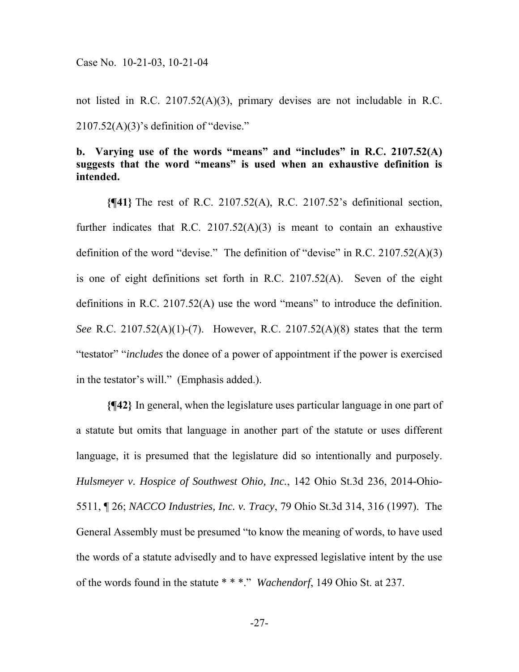not listed in R.C. 2107.52(A)(3), primary devises are not includable in R.C.  $2107.52(A)(3)$ 's definition of "devise."

## **b. Varying use of the words "means" and "includes" in R.C. 2107.52(A) suggests that the word "means" is used when an exhaustive definition is intended.**

**{¶41}** The rest of R.C. 2107.52(A), R.C. 2107.52's definitional section, further indicates that R.C.  $2107.52(A)(3)$  is meant to contain an exhaustive definition of the word "devise." The definition of "devise" in R.C. 2107.52(A)(3) is one of eight definitions set forth in R.C. 2107.52(A). Seven of the eight definitions in R.C. 2107.52(A) use the word "means" to introduce the definition. *See* R.C. 2107.52(A)(1)-(7). However, R.C. 2107.52(A)(8) states that the term "testator" "*includes* the donee of a power of appointment if the power is exercised in the testator's will." (Emphasis added.).

**{¶42}** In general, when the legislature uses particular language in one part of a statute but omits that language in another part of the statute or uses different language, it is presumed that the legislature did so intentionally and purposely. *Hulsmeyer v. Hospice of Southwest Ohio, Inc.*, 142 Ohio St.3d 236, 2014-Ohio-5511, ¶ 26; *NACCO Industries, Inc. v. Tracy*, 79 Ohio St.3d 314, 316 (1997). The General Assembly must be presumed "to know the meaning of words, to have used the words of a statute advisedly and to have expressed legislative intent by the use of the words found in the statute \* \* \*." *Wachendorf*, 149 Ohio St. at 237.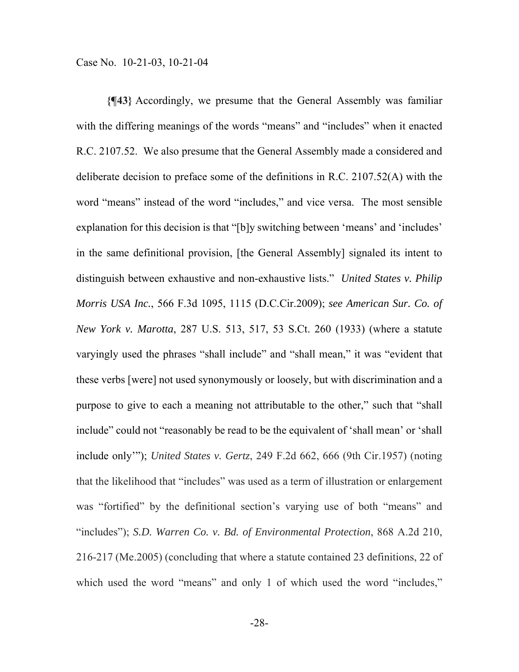**{¶43}** Accordingly, we presume that the General Assembly was familiar with the differing meanings of the words "means" and "includes" when it enacted R.C. 2107.52. We also presume that the General Assembly made a considered and deliberate decision to preface some of the definitions in R.C. 2107.52(A) with the word "means" instead of the word "includes," and vice versa. The most sensible explanation for this decision is that "[b]y switching between 'means' and 'includes' in the same definitional provision, [the General Assembly] signaled its intent to distinguish between exhaustive and non-exhaustive lists." *United States v. Philip Morris USA Inc.*, 566 F.3d 1095, 1115 (D.C.Cir.2009); *see American Sur. Co. of New York v. Marotta*, 287 U.S. 513, 517, 53 S.Ct. 260 (1933) (where a statute varyingly used the phrases "shall include" and "shall mean," it was "evident that these verbs [were] not used synonymously or loosely, but with discrimination and a purpose to give to each a meaning not attributable to the other," such that "shall include" could not "reasonably be read to be the equivalent of 'shall mean' or 'shall include only'"); *United States v. Gertz*, 249 F.2d 662, 666 (9th Cir.1957) (noting that the likelihood that "includes" was used as a term of illustration or enlargement was "fortified" by the definitional section's varying use of both "means" and "includes"); *S.D. Warren Co. v. Bd. of Environmental Protection*, 868 A.2d 210, 216-217 (Me.2005) (concluding that where a statute contained 23 definitions, 22 of which used the word "means" and only 1 of which used the word "includes,"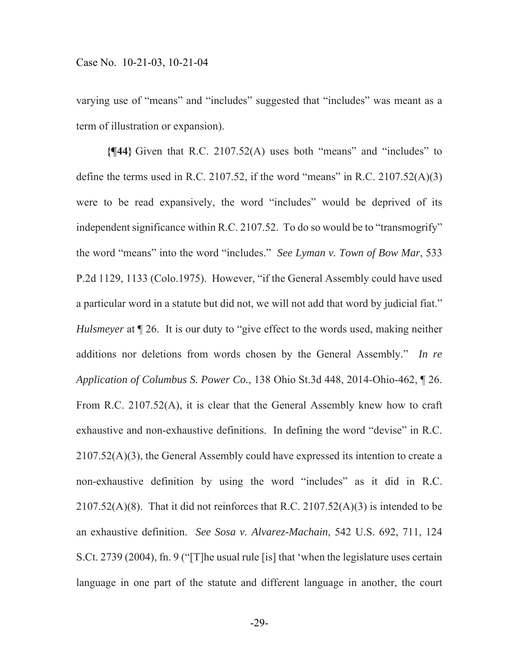varying use of "means" and "includes" suggested that "includes" was meant as a term of illustration or expansion).

**{¶44}** Given that R.C. 2107.52(A) uses both "means" and "includes" to define the terms used in R.C. 2107.52, if the word "means" in R.C. 2107.52(A)(3) were to be read expansively, the word "includes" would be deprived of its independent significance within R.C. 2107.52. To do so would be to "transmogrify" the word "means" into the word "includes." *See Lyman v. Town of Bow Mar*, 533 P.2d 1129, 1133 (Colo.1975). However, "if the General Assembly could have used a particular word in a statute but did not, we will not add that word by judicial fiat." *Hulsmeyer* at  $\sqrt{26}$ . It is our duty to "give effect to the words used, making neither additions nor deletions from words chosen by the General Assembly." *In re Application of Columbus S. Power Co.*, 138 Ohio St.3d 448, 2014-Ohio-462, ¶ 26. From R.C. 2107.52(A), it is clear that the General Assembly knew how to craft exhaustive and non-exhaustive definitions. In defining the word "devise" in R.C.  $2107.52(A)(3)$ , the General Assembly could have expressed its intention to create a non-exhaustive definition by using the word "includes" as it did in R.C.  $2107.52(A)(8)$ . That it did not reinforces that R.C.  $2107.52(A)(3)$  is intended to be an exhaustive definition. *See Sosa v. Alvarez-Machain*, 542 U.S. 692, 711, 124 S.Ct. 2739 (2004), fn. 9 ("[T]he usual rule [is] that 'when the legislature uses certain language in one part of the statute and different language in another, the court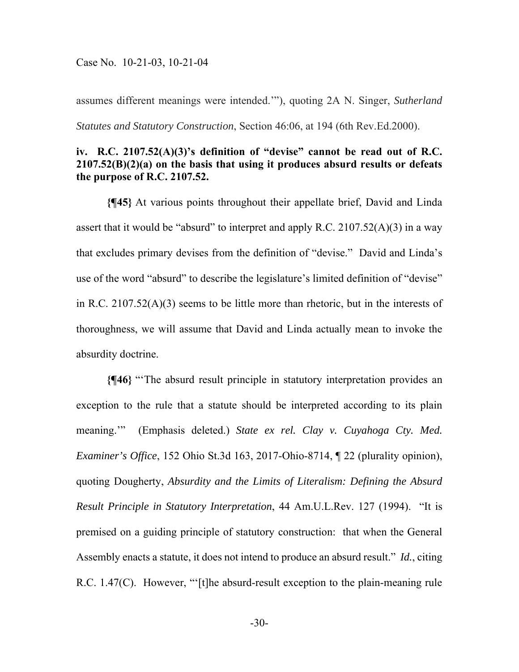assumes different meanings were intended.'"), quoting 2A N. Singer, *Sutherland* 

*Statutes and Statutory Construction*, Section 46:06, at 194 (6th Rev.Ed.2000).

## **iv. R.C. 2107.52(A)(3)'s definition of "devise" cannot be read out of R.C. 2107.52(B)(2)(a) on the basis that using it produces absurd results or defeats the purpose of R.C. 2107.52.**

**{¶45}** At various points throughout their appellate brief, David and Linda assert that it would be "absurd" to interpret and apply R.C.  $2107.52(A)(3)$  in a way that excludes primary devises from the definition of "devise." David and Linda's use of the word "absurd" to describe the legislature's limited definition of "devise" in R.C. 2107.52(A)(3) seems to be little more than rhetoric, but in the interests of thoroughness, we will assume that David and Linda actually mean to invoke the absurdity doctrine.

**{¶46}** "'The absurd result principle in statutory interpretation provides an exception to the rule that a statute should be interpreted according to its plain meaning.'" (Emphasis deleted.) *State ex rel. Clay v. Cuyahoga Cty. Med. Examiner's Office*, 152 Ohio St.3d 163, 2017-Ohio-8714, ¶ 22 (plurality opinion), quoting Dougherty, *Absurdity and the Limits of Literalism: Defining the Absurd Result Principle in Statutory Interpretation*, 44 Am.U.L.Rev. 127 (1994). "It is premised on a guiding principle of statutory construction: that when the General Assembly enacts a statute, it does not intend to produce an absurd result." *Id.*, citing R.C. 1.47(C). However, "'[t]he absurd-result exception to the plain-meaning rule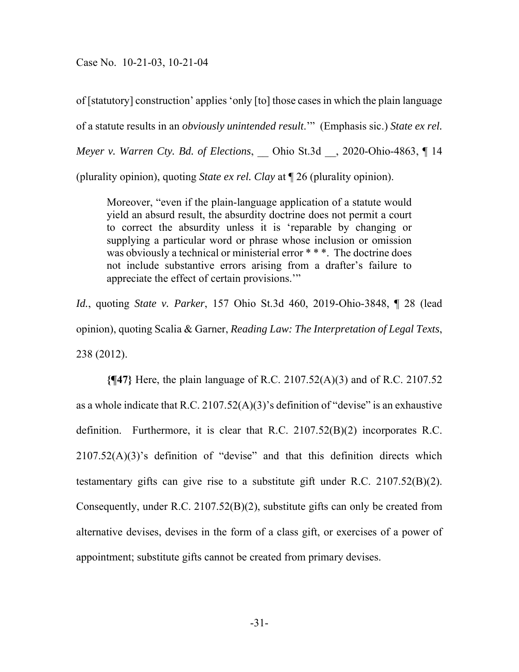of [statutory] construction' applies 'only [to] those cases in which the plain language

of a statute results in an *obviously unintended result*.'" (Emphasis sic.) *State ex rel.* 

*Meyer v. Warren Cty. Bd. of Elections*, \_\_ Ohio St.3d \_\_, 2020-Ohio-4863, ¶ 14

(plurality opinion), quoting *State ex rel. Clay* at ¶ 26 (plurality opinion).

Moreover, "even if the plain-language application of a statute would yield an absurd result, the absurdity doctrine does not permit a court to correct the absurdity unless it is 'reparable by changing or supplying a particular word or phrase whose inclusion or omission was obviously a technical or ministerial error \* \* \*. The doctrine does not include substantive errors arising from a drafter's failure to appreciate the effect of certain provisions.'"

*Id.*, quoting *State v. Parker*, 157 Ohio St.3d 460, 2019-Ohio-3848, ¶ 28 (lead opinion), quoting Scalia & Garner, *Reading Law: The Interpretation of Legal Texts*, 238 (2012).

**{¶47}** Here, the plain language of R.C. 2107.52(A)(3) and of R.C. 2107.52 as a whole indicate that R.C.  $2107.52(A)(3)$ 's definition of "devise" is an exhaustive definition. Furthermore, it is clear that R.C. 2107.52(B)(2) incorporates R.C.  $2107.52(A)(3)$ 's definition of "devise" and that this definition directs which testamentary gifts can give rise to a substitute gift under R.C.  $2107.52(B)(2)$ . Consequently, under R.C. 2107.52(B)(2), substitute gifts can only be created from alternative devises, devises in the form of a class gift, or exercises of a power of appointment; substitute gifts cannot be created from primary devises.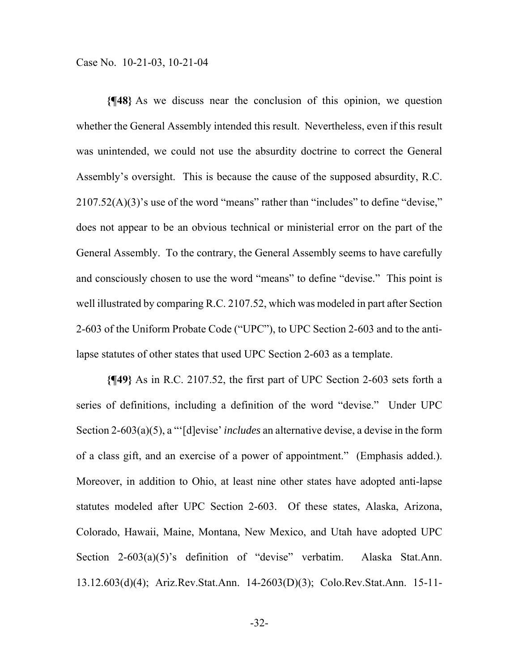**{¶48}** As we discuss near the conclusion of this opinion, we question whether the General Assembly intended this result. Nevertheless, even if this result was unintended, we could not use the absurdity doctrine to correct the General Assembly's oversight. This is because the cause of the supposed absurdity, R.C.  $2107.52(A)(3)$ 's use of the word "means" rather than "includes" to define "devise," does not appear to be an obvious technical or ministerial error on the part of the General Assembly. To the contrary, the General Assembly seems to have carefully and consciously chosen to use the word "means" to define "devise." This point is well illustrated by comparing R.C. 2107.52, which was modeled in part after Section 2-603 of the Uniform Probate Code ("UPC"), to UPC Section 2-603 and to the antilapse statutes of other states that used UPC Section 2-603 as a template.

**{¶49}** As in R.C. 2107.52, the first part of UPC Section 2-603 sets forth a series of definitions, including a definition of the word "devise." Under UPC Section 2-603(a)(5), a "'[d]evise' *includes* an alternative devise, a devise in the form of a class gift, and an exercise of a power of appointment." (Emphasis added.). Moreover, in addition to Ohio, at least nine other states have adopted anti-lapse statutes modeled after UPC Section 2-603. Of these states, Alaska, Arizona, Colorado, Hawaii, Maine, Montana, New Mexico, and Utah have adopted UPC Section 2-603(a)(5)'s definition of "devise" verbatim. Alaska Stat.Ann. 13.12.603(d)(4); Ariz.Rev.Stat.Ann. 14-2603(D)(3); Colo.Rev.Stat.Ann. 15-11-

-32-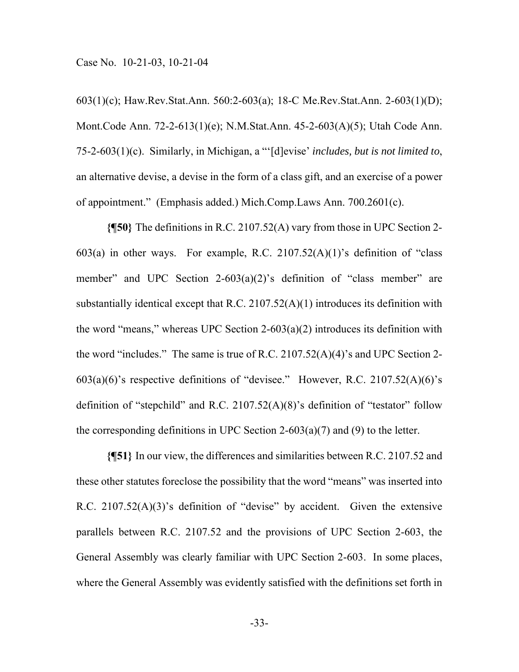603(1)(c); Haw.Rev.Stat.Ann. 560:2-603(a); 18-C Me.Rev.Stat.Ann. 2-603(1)(D); Mont.Code Ann. 72-2-613(1)(e); N.M.Stat.Ann. 45-2-603(A)(5); Utah Code Ann. 75-2-603(1)(c). Similarly, in Michigan, a "'[d]evise' *includes, but is not limited to*, an alternative devise, a devise in the form of a class gift, and an exercise of a power of appointment." (Emphasis added.) Mich.Comp.Laws Ann. 700.2601(c).

**{¶50}** The definitions in R.C. 2107.52(A) vary from those in UPC Section 2-  $603(a)$  in other ways. For example, R.C.  $2107.52(A)(1)$ 's definition of "class" member" and UPC Section 2-603(a)(2)'s definition of "class member" are substantially identical except that R.C.  $2107.52(A)(1)$  introduces its definition with the word "means," whereas UPC Section  $2-603(a)(2)$  introduces its definition with the word "includes." The same is true of R.C. 2107.52(A)(4)'s and UPC Section 2-  $603(a)(6)$ 's respective definitions of "devisee." However, R.C. 2107.52(A)(6)'s definition of "stepchild" and R.C. 2107.52(A)(8)'s definition of "testator" follow the corresponding definitions in UPC Section 2-603(a)(7) and (9) to the letter.

**{¶51}** In our view, the differences and similarities between R.C. 2107.52 and these other statutes foreclose the possibility that the word "means" was inserted into R.C. 2107.52(A)(3)'s definition of "devise" by accident. Given the extensive parallels between R.C. 2107.52 and the provisions of UPC Section 2-603, the General Assembly was clearly familiar with UPC Section 2-603. In some places, where the General Assembly was evidently satisfied with the definitions set forth in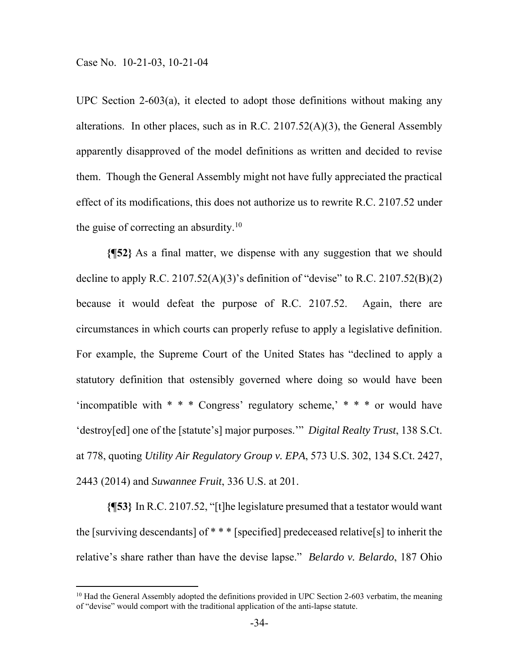UPC Section 2-603(a), it elected to adopt those definitions without making any alterations. In other places, such as in R.C.  $2107.52(A)(3)$ , the General Assembly apparently disapproved of the model definitions as written and decided to revise them. Though the General Assembly might not have fully appreciated the practical effect of its modifications, this does not authorize us to rewrite R.C. 2107.52 under the guise of correcting an absurdity.<sup>10</sup>

**{¶52}** As a final matter, we dispense with any suggestion that we should decline to apply R.C.  $2107.52(A)(3)$ 's definition of "devise" to R.C.  $2107.52(B)(2)$ because it would defeat the purpose of R.C. 2107.52. Again, there are circumstances in which courts can properly refuse to apply a legislative definition. For example, the Supreme Court of the United States has "declined to apply a statutory definition that ostensibly governed where doing so would have been 'incompatible with \* \* \* Congress' regulatory scheme,' \* \* \* or would have 'destroy[ed] one of the [statute's] major purposes.'" *Digital Realty Trust*, 138 S.Ct. at 778, quoting *Utility Air Regulatory Group v. EPA*, 573 U.S. 302, 134 S.Ct. 2427, 2443 (2014) and *Suwannee Fruit*, 336 U.S. at 201.

**{¶53}** In R.C. 2107.52, "[t]he legislature presumed that a testator would want the [surviving descendants] of \* \* \* [specified] predeceased relative[s] to inherit the relative's share rather than have the devise lapse." *Belardo v. Belardo*, 187 Ohio

<sup>&</sup>lt;sup>10</sup> Had the General Assembly adopted the definitions provided in UPC Section 2-603 verbatim, the meaning of "devise" would comport with the traditional application of the anti-lapse statute.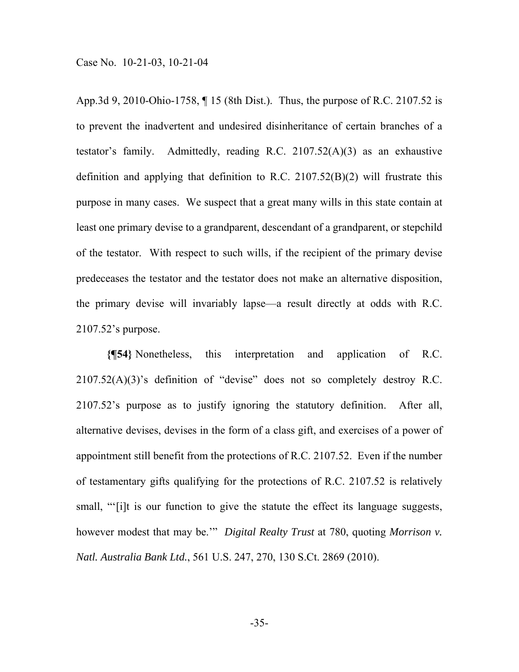App.3d 9, 2010-Ohio-1758, ¶ 15 (8th Dist.). Thus, the purpose of R.C. 2107.52 is to prevent the inadvertent and undesired disinheritance of certain branches of a testator's family. Admittedly, reading R.C. 2107.52(A)(3) as an exhaustive definition and applying that definition to R.C. 2107.52(B)(2) will frustrate this purpose in many cases. We suspect that a great many wills in this state contain at least one primary devise to a grandparent, descendant of a grandparent, or stepchild of the testator. With respect to such wills, if the recipient of the primary devise predeceases the testator and the testator does not make an alternative disposition, the primary devise will invariably lapse—a result directly at odds with R.C. 2107.52's purpose.

**{¶54}** Nonetheless, this interpretation and application of R.C. 2107.52(A)(3)'s definition of "devise" does not so completely destroy R.C. 2107.52's purpose as to justify ignoring the statutory definition. After all, alternative devises, devises in the form of a class gift, and exercises of a power of appointment still benefit from the protections of R.C. 2107.52. Even if the number of testamentary gifts qualifying for the protections of R.C. 2107.52 is relatively small, "'[i]t is our function to give the statute the effect its language suggests, however modest that may be.'" *Digital Realty Trust* at 780, quoting *Morrison v. Natl. Australia Bank Ltd.*, 561 U.S. 247, 270, 130 S.Ct. 2869 (2010).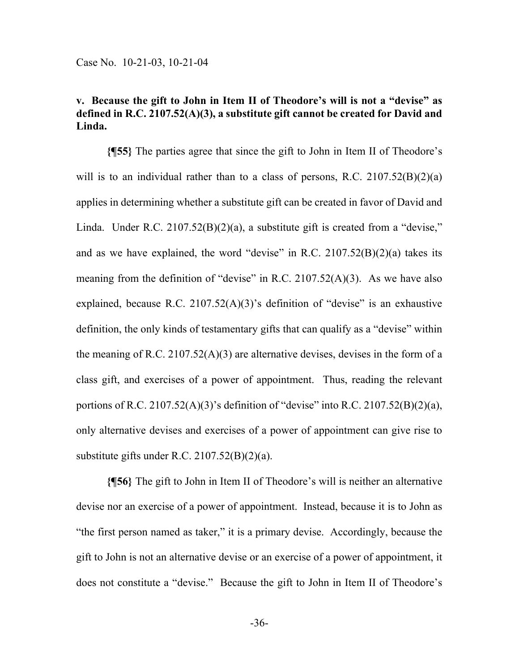# **v. Because the gift to John in Item II of Theodore's will is not a "devise" as defined in R.C. 2107.52(A)(3), a substitute gift cannot be created for David and Linda.**

**{¶55}** The parties agree that since the gift to John in Item II of Theodore's will is to an individual rather than to a class of persons, R.C.  $2107.52(B)(2)(a)$ applies in determining whether a substitute gift can be created in favor of David and Linda. Under R.C.  $2107.52(B)(2)(a)$ , a substitute gift is created from a "devise," and as we have explained, the word "devise" in R.C.  $2107.52(B)(2)(a)$  takes its meaning from the definition of "devise" in R.C. 2107.52(A)(3). As we have also explained, because R.C.  $2107.52(A)(3)$ 's definition of "devise" is an exhaustive definition, the only kinds of testamentary gifts that can qualify as a "devise" within the meaning of R.C. 2107.52(A)(3) are alternative devises, devises in the form of a class gift, and exercises of a power of appointment. Thus, reading the relevant portions of R.C. 2107.52(A)(3)'s definition of "devise" into R.C. 2107.52(B)(2)(a), only alternative devises and exercises of a power of appointment can give rise to substitute gifts under R.C. 2107.52(B)(2)(a).

**{¶56}** The gift to John in Item II of Theodore's will is neither an alternative devise nor an exercise of a power of appointment. Instead, because it is to John as "the first person named as taker," it is a primary devise. Accordingly, because the gift to John is not an alternative devise or an exercise of a power of appointment, it does not constitute a "devise." Because the gift to John in Item II of Theodore's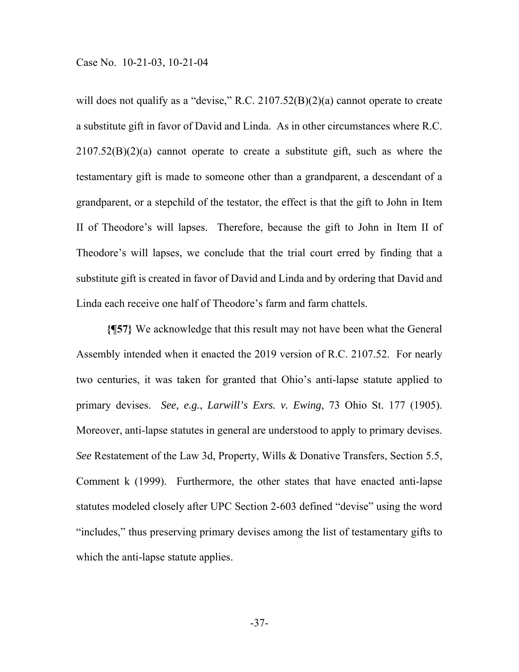will does not qualify as a "devise," R.C. 2107.52(B)(2)(a) cannot operate to create a substitute gift in favor of David and Linda. As in other circumstances where R.C.  $2107.52(B)(2)(a)$  cannot operate to create a substitute gift, such as where the testamentary gift is made to someone other than a grandparent, a descendant of a grandparent, or a stepchild of the testator, the effect is that the gift to John in Item II of Theodore's will lapses. Therefore, because the gift to John in Item II of Theodore's will lapses, we conclude that the trial court erred by finding that a substitute gift is created in favor of David and Linda and by ordering that David and Linda each receive one half of Theodore's farm and farm chattels.

**{¶57}** We acknowledge that this result may not have been what the General Assembly intended when it enacted the 2019 version of R.C. 2107.52. For nearly two centuries, it was taken for granted that Ohio's anti-lapse statute applied to primary devises. *See, e.g.*, *Larwill's Exrs. v. Ewing*, 73 Ohio St. 177 (1905). Moreover, anti-lapse statutes in general are understood to apply to primary devises. *See* Restatement of the Law 3d, Property, Wills & Donative Transfers, Section 5.5, Comment k (1999). Furthermore, the other states that have enacted anti-lapse statutes modeled closely after UPC Section 2-603 defined "devise" using the word "includes," thus preserving primary devises among the list of testamentary gifts to which the anti-lapse statute applies.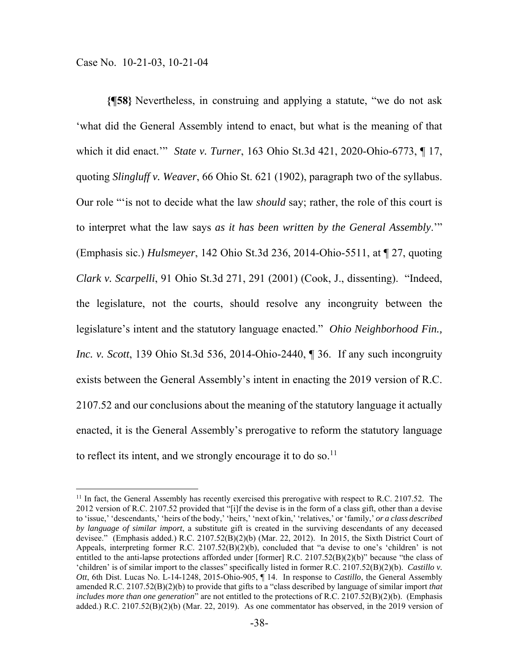**{¶58}** Nevertheless, in construing and applying a statute, "we do not ask 'what did the General Assembly intend to enact, but what is the meaning of that which it did enact.'" *State v. Turner*, 163 Ohio St.3d 421, 2020-Ohio-6773, ¶ 17, quoting *Slingluff v. Weaver*, 66 Ohio St. 621 (1902), paragraph two of the syllabus. Our role "'is not to decide what the law *should* say; rather, the role of this court is to interpret what the law says *as it has been written by the General Assembly*.'" (Emphasis sic.) *Hulsmeyer*, 142 Ohio St.3d 236, 2014-Ohio-5511, at ¶ 27, quoting *Clark v. Scarpelli*, 91 Ohio St.3d 271, 291 (2001) (Cook, J., dissenting). "Indeed, the legislature, not the courts, should resolve any incongruity between the legislature's intent and the statutory language enacted." *Ohio Neighborhood Fin., Inc. v. Scott*, 139 Ohio St.3d 536, 2014-Ohio-2440, ¶ 36. If any such incongruity exists between the General Assembly's intent in enacting the 2019 version of R.C. 2107.52 and our conclusions about the meaning of the statutory language it actually enacted, it is the General Assembly's prerogative to reform the statutory language to reflect its intent, and we strongly encourage it to do so.<sup>11</sup>

 $11$  In fact, the General Assembly has recently exercised this prerogative with respect to R.C. 2107.52. The 2012 version of R.C. 2107.52 provided that "[i]f the devise is in the form of a class gift, other than a devise to 'issue,' 'descendants,' 'heirs of the body,' 'heirs,' 'next of kin,' 'relatives,' or 'family,' *or a class described by language of similar import*, a substitute gift is created in the surviving descendants of any deceased devisee." (Emphasis added.) R.C. 2107.52(B)(2)(b) (Mar. 22, 2012). In 2015, the Sixth District Court of Appeals, interpreting former R.C. 2107.52(B)(2)(b), concluded that "a devise to one's 'children' is not entitled to the anti-lapse protections afforded under [former] R.C. 2107.52(B)(2)(b)" because "the class of 'children' is of similar import to the classes" specifically listed in former R.C. 2107.52(B)(2)(b). *Castillo v. Ott*, 6th Dist. Lucas No. L-14-1248, 2015-Ohio-905, ¶ 14. In response to *Castillo*, the General Assembly amended R.C. 2107.52(B)(2)(b) to provide that gifts to a "class described by language of similar import *that includes more than one generation*" are not entitled to the protections of R.C. 2107.52(B)(2)(b). (Emphasis added.) R.C. 2107.52(B)(2)(b) (Mar. 22, 2019). As one commentator has observed, in the 2019 version of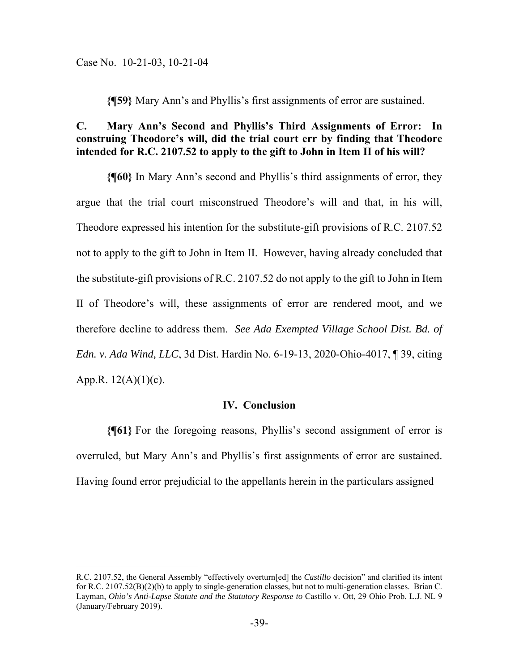**{¶59}** Mary Ann's and Phyllis's first assignments of error are sustained.

## **C. Mary Ann's Second and Phyllis's Third Assignments of Error: In construing Theodore's will, did the trial court err by finding that Theodore intended for R.C. 2107.52 to apply to the gift to John in Item II of his will?**

**{¶60}** In Mary Ann's second and Phyllis's third assignments of error, they argue that the trial court misconstrued Theodore's will and that, in his will, Theodore expressed his intention for the substitute-gift provisions of R.C. 2107.52 not to apply to the gift to John in Item II. However, having already concluded that the substitute-gift provisions of R.C. 2107.52 do not apply to the gift to John in Item II of Theodore's will, these assignments of error are rendered moot, and we therefore decline to address them. *See Ada Exempted Village School Dist. Bd. of Edn. v. Ada Wind, LLC*, 3d Dist. Hardin No. 6-19-13, 2020-Ohio-4017, ¶ 39, citing App.R. 12(A)(1)(c).

#### **IV. Conclusion**

**{¶61}** For the foregoing reasons, Phyllis's second assignment of error is overruled, but Mary Ann's and Phyllis's first assignments of error are sustained. Having found error prejudicial to the appellants herein in the particulars assigned

R.C. 2107.52, the General Assembly "effectively overturn[ed] the *Castillo* decision" and clarified its intent for R.C. 2107.52(B)(2)(b) to apply to single-generation classes, but not to multi-generation classes. Brian C. Layman, *Ohio's Anti-Lapse Statute and the Statutory Response to* Castillo v. Ott, 29 Ohio Prob. L.J. NL 9 (January/February 2019).